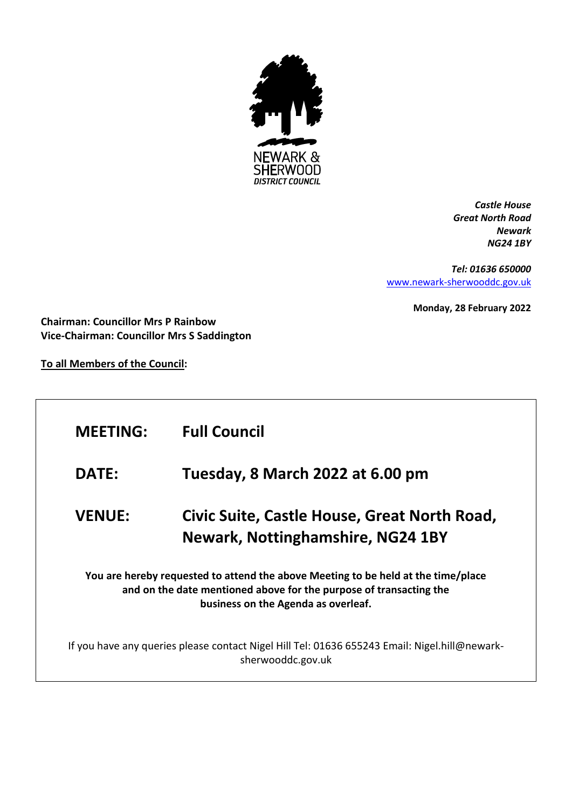

*Castle House Great North Road Newark NG24 1BY*

*Tel: 01636 650000* [www.newark-sherwooddc.gov.uk](http://www.newark-sherwooddc.gov.uk/)

**Monday, 28 February 2022**

**Chairman: Councillor Mrs P Rainbow Vice-Chairman: Councillor Mrs S Saddington**

**To all Members of the Council:**

| <b>MEETING:</b>                                                                                                                                                                                | <b>Full Council</b>                                                                      |  |
|------------------------------------------------------------------------------------------------------------------------------------------------------------------------------------------------|------------------------------------------------------------------------------------------|--|
| <b>DATE:</b>                                                                                                                                                                                   | Tuesday, 8 March 2022 at 6.00 pm                                                         |  |
| <b>VENUE:</b>                                                                                                                                                                                  | Civic Suite, Castle House, Great North Road,<br><b>Newark, Nottinghamshire, NG24 1BY</b> |  |
| You are hereby requested to attend the above Meeting to be held at the time/place<br>and on the date mentioned above for the purpose of transacting the<br>business on the Agenda as overleaf. |                                                                                          |  |
| If you have any queries please contact Nigel Hill Tel: 01636 655243 Email: Nigel.hill@newark-<br>sherwooddc.gov.uk                                                                             |                                                                                          |  |
|                                                                                                                                                                                                |                                                                                          |  |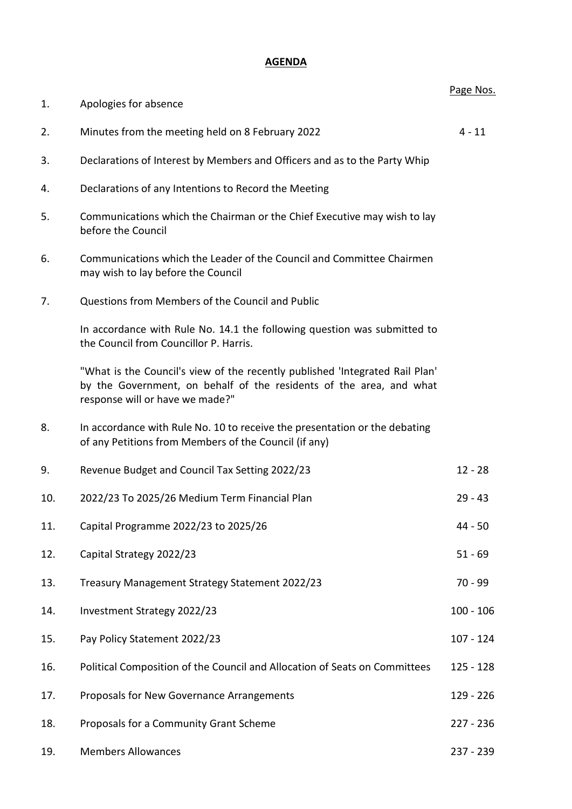## **AGENDA**

|     |                                                                                                                                                                                        | Page Nos.   |
|-----|----------------------------------------------------------------------------------------------------------------------------------------------------------------------------------------|-------------|
| 1.  | Apologies for absence                                                                                                                                                                  |             |
| 2.  | Minutes from the meeting held on 8 February 2022                                                                                                                                       | $4 - 11$    |
| 3.  | Declarations of Interest by Members and Officers and as to the Party Whip                                                                                                              |             |
| 4.  | Declarations of any Intentions to Record the Meeting                                                                                                                                   |             |
| 5.  | Communications which the Chairman or the Chief Executive may wish to lay<br>before the Council                                                                                         |             |
| 6.  | Communications which the Leader of the Council and Committee Chairmen<br>may wish to lay before the Council                                                                            |             |
| 7.  | Questions from Members of the Council and Public                                                                                                                                       |             |
|     | In accordance with Rule No. 14.1 the following question was submitted to<br>the Council from Councillor P. Harris.                                                                     |             |
|     | "What is the Council's view of the recently published 'Integrated Rail Plan'<br>by the Government, on behalf of the residents of the area, and what<br>response will or have we made?" |             |
| 8.  | In accordance with Rule No. 10 to receive the presentation or the debating<br>of any Petitions from Members of the Council (if any)                                                    |             |
| 9.  | Revenue Budget and Council Tax Setting 2022/23                                                                                                                                         | $12 - 28$   |
| 10. | 2022/23 To 2025/26 Medium Term Financial Plan                                                                                                                                          | $29 - 43$   |
| 11. | Capital Programme 2022/23 to 2025/26                                                                                                                                                   | $44 - 50$   |
| 12. | Capital Strategy 2022/23                                                                                                                                                               | $51 - 69$   |
| 13. | Treasury Management Strategy Statement 2022/23                                                                                                                                         | $70 - 99$   |
| 14. | Investment Strategy 2022/23                                                                                                                                                            | $100 - 106$ |
| 15. | Pay Policy Statement 2022/23                                                                                                                                                           | $107 - 124$ |
| 16. | Political Composition of the Council and Allocation of Seats on Committees                                                                                                             | 125 - 128   |
| 17. | Proposals for New Governance Arrangements                                                                                                                                              | 129 - 226   |
| 18. | Proposals for a Community Grant Scheme                                                                                                                                                 | 227 - 236   |
| 19. | <b>Members Allowances</b>                                                                                                                                                              | 237 - 239   |